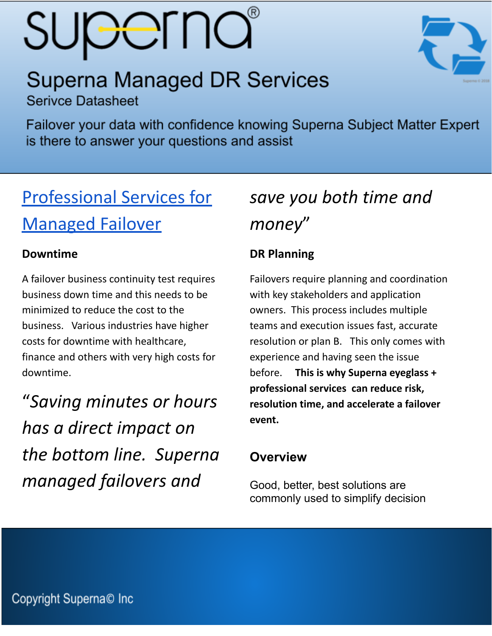# **SUPErna**

## **Superna Managed DR Services**

**Serivce Datasheet** 

Failover your data with confidence knowing Superna Subject Matter Expert is there to answer your questions and assist

## [Professional Services for](https://manuals.supernaeyeglass.com/project-getting-help/HTML/eyeglass-professional-services.html) [Managed Failover](https://manuals.supernaeyeglass.com/project-getting-help/HTML/eyeglass-professional-services.html)

#### **Downtime**

A failover business continuity test requires business down time and this needs to be minimized to reduce the cost to the business. Various industries have higher costs for downtime with healthcare, finance and others with very high costs for downtime.

"*Saving minutes or hours has a direct impact on the bottom line. Superna managed failovers and*

## *save you both time and money*"

### **DR Planning**

Failovers require planning and coordination with key stakeholders and application owners. This process includes multiple teams and execution issues fast, accurate resolution or plan B. This only comes with experience and having seen the issue before. **This is why Superna eyeglass + professional services can reduce risk, resolution time, and accelerate a failover event.**

### **Overview**

Good, better, best solutions are commonly used to simplify decision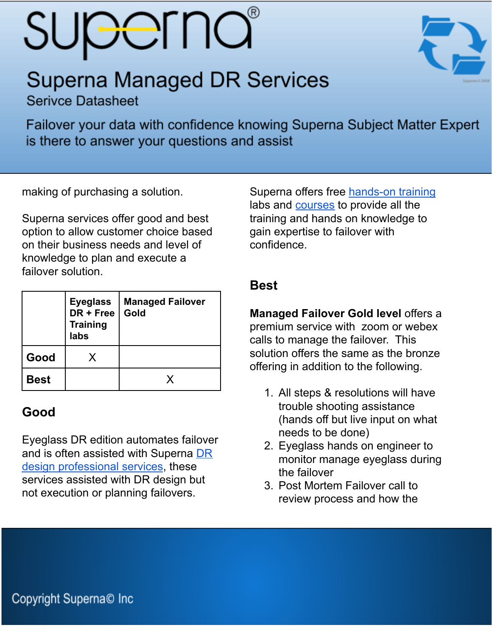# **SUPEFNO**

## **Superna Managed DR Services**

**Serivce Datasheet** 

Failover your data with confidence knowing Superna Subject Matter Expert is there to answer your questions and assist

making of purchasing a solution.

Superna services offer good and best option to allow customer choice based on their business needs and level of knowledge to plan and execute a failover solution.

|             | <b>Eyeglass</b><br>$DR + Free$<br><b>Training</b><br>labs | <b>Managed Failover</b><br>Gold |
|-------------|-----------------------------------------------------------|---------------------------------|
| Good        | X.                                                        |                                 |
| <b>Best</b> |                                                           |                                 |

#### **Good**

Eyeglass DR edition automates failover and is often assisted with Superna [DR](https://manuals.supernaeyeglass.com/project-getting-help/HTML/eyeglass-professional-services.html#h3_3) design [professional](https://manuals.supernaeyeglass.com/project-getting-help/HTML/eyeglass-professional-services.html#h3_3) services, these services assisted with DR design but not execution or planning failovers.

Superna offers free [hands-on](https://www.supernaeyeglass.com/booking) training labs and [courses](https://courses.superna.net/) to provide all the training and hands on knowledge to gain expertise to failover with confidence.

#### **Best**

**Managed Failover Gold level** offers a premium service with zoom or webex calls to manage the failover. This solution offers the same as the bronze offering in addition to the following.

- 1. All steps & resolutions will have trouble shooting assistance (hands off but live input on what needs to be done)
- 2. Eyeglass hands on engineer to monitor manage eyeglass during the failover
- 3. Post Mortem Failover call to review process and how the